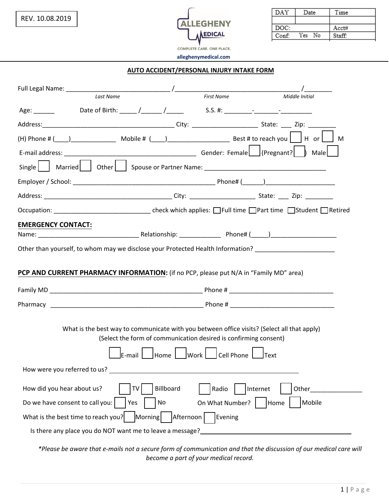

| DAY   | Date      | Time   |
|-------|-----------|--------|
|       |           |        |
| DOC:  |           | Acct#  |
| Conf: | No<br>Yes | Staff: |

#### **AUTO ACCIDENT/PERSONAL INJURY INTAKE FORM**

|                                     | Last Name                                                                                                                                                       | <b>First Name</b>    | Middle Initial                                                                                             |
|-------------------------------------|-----------------------------------------------------------------------------------------------------------------------------------------------------------------|----------------------|------------------------------------------------------------------------------------------------------------|
|                                     |                                                                                                                                                                 |                      |                                                                                                            |
|                                     |                                                                                                                                                                 |                      |                                                                                                            |
|                                     |                                                                                                                                                                 |                      |                                                                                                            |
|                                     |                                                                                                                                                                 |                      |                                                                                                            |
| Single                              |                                                                                                                                                                 |                      |                                                                                                            |
|                                     |                                                                                                                                                                 |                      |                                                                                                            |
|                                     |                                                                                                                                                                 |                      |                                                                                                            |
|                                     |                                                                                                                                                                 |                      |                                                                                                            |
| <b>EMERGENCY CONTACT:</b>           |                                                                                                                                                                 |                      |                                                                                                            |
|                                     |                                                                                                                                                                 |                      |                                                                                                            |
|                                     |                                                                                                                                                                 |                      | Other than yourself, to whom may we disclose your Protected Health Information? __________________________ |
|                                     | PCP AND CURRENT PHARMACY INFORMATION: (if no PCP, please put N/A in "Family MD" area)                                                                           |                      |                                                                                                            |
|                                     |                                                                                                                                                                 |                      |                                                                                                            |
|                                     |                                                                                                                                                                 |                      |                                                                                                            |
|                                     | What is the best way to communicate with you between office visits? (Select all that apply)<br>(Select the form of communication desired is confirming consent) |                      |                                                                                                            |
|                                     | IE-mail I                                                                                                                                                       | Cell Phone           | <b>Text</b>                                                                                                |
| How were you referred to us?        |                                                                                                                                                                 |                      |                                                                                                            |
| How did you hear about us?          | Billboard<br>TV                                                                                                                                                 | Radio                | Internet<br>Other                                                                                          |
| Do we have consent to call you:     | No<br>Yes                                                                                                                                                       | On What Number?      | Mobile<br>Home                                                                                             |
| What is the best time to reach you? | Morning                                                                                                                                                         | Evening<br>Afternoon |                                                                                                            |
|                                     | Is there any place you do NOT want me to leave a message?                                                                                                       |                      |                                                                                                            |
|                                     |                                                                                                                                                                 |                      |                                                                                                            |

*\*Please be aware that e-mails not a secure form of communication and that the discussion of our medical care will become a part of your medical record.*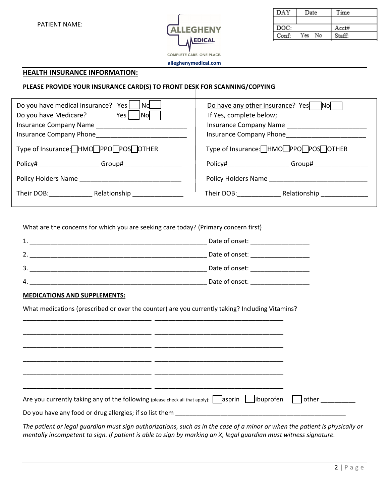PATIENT NAME:



DAY Date Time DOC:  $Acct#$ Conf: Yes No Staff:

**alleghenymedical.com**

#### **HEALTH INSURANCE INFORMATION:**

#### **PLEASE PROVIDE YOUR INSURANCE CARD(S) TO FRONT DESK FOR SCANNING/COPYING**

| Do you have medical insurance?<br>$\overline{\phantom{a}}$ Nd<br>Yes<br>Do you have Medicare?<br>Yes<br>l Nol<br>Insurance Company Name<br>Insurance Company Phone | Do have any other insurance? Yes<br><b>INOI</b><br>If Yes, complete below;<br><b>Insurance Company Name</b><br><b>Insurance Company Phone</b>                                                                                            |  |
|--------------------------------------------------------------------------------------------------------------------------------------------------------------------|------------------------------------------------------------------------------------------------------------------------------------------------------------------------------------------------------------------------------------------|--|
| Type of Insurance: HMO PPO POS OTHER                                                                                                                               | Type of Insurance: HMO□PPO□POS□OTHER                                                                                                                                                                                                     |  |
| Policy#_____________<br>Group#                                                                                                                                     | Policy# Provide the control of the control of the control of the control of the control of the control of the control of the control of the control of the control of the control of the control of the control of the control<br>Group# |  |
| Policy Holders Name                                                                                                                                                | Policy Holders Name                                                                                                                                                                                                                      |  |
| Their DOB: Their DOB:<br>Relationship                                                                                                                              | Their DOB: Their DOB:<br>Relationship                                                                                                                                                                                                    |  |

What are the concerns for which you are seeking care today? (Primary concern first)

|   | Date of onset: |
|---|----------------|
| 2 | Date of onset: |
| 3 | Date of onset: |
| 4 | Date of onset: |

#### **MEDICATIONS AND SUPPLEMENTS:**

What medications (prescribed or over the counter) are you currently taking? Including Vitamins?

|                                                         | Are you currently taking any of the following (please check all that apply): asprin   ibuprofen detail other |  |
|---------------------------------------------------------|--------------------------------------------------------------------------------------------------------------|--|
| Do you have any food or drug allergies; if so list them |                                                                                                              |  |

*The patient or legal guardian must sign authorizations, such as in the case of a minor or when the patient is physically or mentally incompetent to sign. If patient is able to sign by marking an X, legal guardian must witness signature.*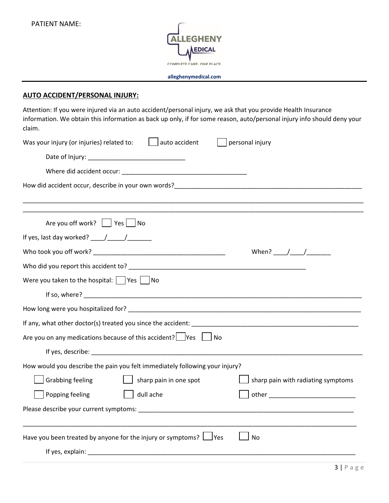

# **AUTO ACCIDENT/PERSONAL INJURY:**

Attention: If you were injured via an auto accident/personal injury, we ask that you provide Health Insurance information. We obtain this information as back up only, if for some reason, auto/personal injury info should deny your claim.

| auto accident<br>Was your injury (or injuries) related to:                                                     | personal injury                    |
|----------------------------------------------------------------------------------------------------------------|------------------------------------|
|                                                                                                                |                                    |
|                                                                                                                |                                    |
|                                                                                                                |                                    |
|                                                                                                                |                                    |
| Are you off work?     Yes     No                                                                               |                                    |
|                                                                                                                |                                    |
|                                                                                                                | When? $/$ /                        |
| Who did you report this accident to? University of the control of the control of the control of the control of |                                    |
| Were you taken to the hospital: $\Box$ Yes $\Box$ No                                                           |                                    |
|                                                                                                                |                                    |
|                                                                                                                |                                    |
|                                                                                                                |                                    |
| Are you on any medications because of this accident? $\Box$ Yes $\Box$ No                                      |                                    |
|                                                                                                                |                                    |
| How would you describe the pain you felt immediately following your injury?                                    |                                    |
| <b>Grabbing feeling</b><br>sharp pain in one spot                                                              | sharp pain with radiating symptoms |
| Popping feeling<br>dull ache                                                                                   |                                    |
|                                                                                                                |                                    |
|                                                                                                                |                                    |
| Have you been treated by anyone for the injury or symptoms? $\Box$ Yes                                         | No                                 |
|                                                                                                                |                                    |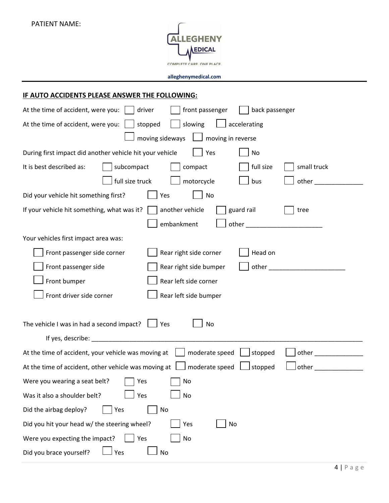

|  |  | IF AUTO ACCIDENTS PLEASE ANSWER THE FOLLOWING: |  |
|--|--|------------------------------------------------|--|
|  |  |                                                |  |

| At the time of accident, were you:<br>driver<br>front passenger<br>back passenger                                                                                                                                              |  |  |  |
|--------------------------------------------------------------------------------------------------------------------------------------------------------------------------------------------------------------------------------|--|--|--|
| At the time of accident, were you:<br>stopped<br>slowing<br>accelerating                                                                                                                                                       |  |  |  |
| moving sideways<br>$\boxed{\phantom{1}}$ moving in reverse                                                                                                                                                                     |  |  |  |
| During first impact did another vehicle hit your vehicle<br>Yes<br>No                                                                                                                                                          |  |  |  |
| subcompact<br>It is best described as:<br>compact<br>full size<br>small truck                                                                                                                                                  |  |  |  |
| full size truck<br>motorcycle<br>other_<br>bus                                                                                                                                                                                 |  |  |  |
| Did your vehicle hit something first?<br>No<br>Yes                                                                                                                                                                             |  |  |  |
| If your vehicle hit something, what was it?<br>another vehicle<br>guard rail<br>tree                                                                                                                                           |  |  |  |
| embankment<br>other and the contract of the contract of the contract of the contract of the contract of the contract of the                                                                                                    |  |  |  |
| Your vehicles first impact area was:                                                                                                                                                                                           |  |  |  |
| Head on<br>Front passenger side corner<br>Rear right side corner                                                                                                                                                               |  |  |  |
| other_<br>Front passenger side<br>Rear right side bumper                                                                                                                                                                       |  |  |  |
| Front bumper<br>Rear left side corner                                                                                                                                                                                          |  |  |  |
| Front driver side corner<br>Rear left side bumper                                                                                                                                                                              |  |  |  |
|                                                                                                                                                                                                                                |  |  |  |
| The vehicle I was in had a second impact?<br>Yes<br>No                                                                                                                                                                         |  |  |  |
| If yes, describe: The contract of the contract of the contract of the contract of the contract of the contract of the contract of the contract of the contract of the contract of the contract of the contract of the contract |  |  |  |
| moderate speed<br>At the time of accident, your vehicle was moving at<br>stopped<br>other                                                                                                                                      |  |  |  |
| At the time of accident, other vehicle was moving at<br>moderate speed<br>stopped<br>other                                                                                                                                     |  |  |  |
| Were you wearing a seat belt?<br>No<br>Yes                                                                                                                                                                                     |  |  |  |
| Yes<br><b>No</b><br>Was it also a shoulder belt?                                                                                                                                                                               |  |  |  |
| Did the airbag deploy?<br>Yes<br>No                                                                                                                                                                                            |  |  |  |
| Did you hit your head w/ the steering wheel?<br>Yes<br>No                                                                                                                                                                      |  |  |  |
| Were you expecting the impact?<br>Yes<br>No                                                                                                                                                                                    |  |  |  |
| Did you brace yourself?<br>Yes<br>No                                                                                                                                                                                           |  |  |  |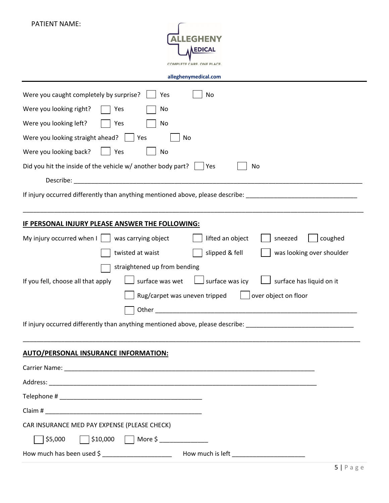| <b>PATIENT NAME:</b>                                                                                           |
|----------------------------------------------------------------------------------------------------------------|
|                                                                                                                |
| <b>EDICA</b>                                                                                                   |
| <b>COMPLETE CARE, ONE PLACE</b>                                                                                |
| alleghenymedical.com                                                                                           |
| Were you caught completely by surprise?<br>No<br>Yes                                                           |
| Were you looking right?<br>No<br>Yes                                                                           |
| Were you looking left?<br>Yes<br>No                                                                            |
| Were you looking straight ahead?<br>No<br>Yes                                                                  |
| Were you looking back?<br>Yes<br>No                                                                            |
| Did you hit the inside of the vehicle w/ another body part?<br>No<br>Yes                                       |
| Describe:                                                                                                      |
| If injury occurred differently than anything mentioned above, please describe: _____________________           |
|                                                                                                                |
| IF PERSONAL INJURY PLEASE ANSWER THE FOLLOWING:                                                                |
| lifted an object<br>coughed<br>My injury occurred when I<br>was carrying object<br>sneezed                     |
| twisted at waist<br>slipped & fell<br>was looking over shoulder                                                |
| straightened up from bending                                                                                   |
| surface was icy<br>surface was wet<br>surface has liquid on it<br>If you fell, choose all that apply           |
| Rug/carpet was uneven tripped<br>over object on floor                                                          |
|                                                                                                                |
| If injury occurred differently than anything mentioned above, please describe: _______________________________ |
|                                                                                                                |
| <b>AUTO/PERSONAL INSURANCE INFORMATION:</b>                                                                    |
|                                                                                                                |
|                                                                                                                |
|                                                                                                                |
|                                                                                                                |
| CAR INSURANCE MED PAY EXPENSE (PLEASE CHECK)                                                                   |
| $\Box$ \$10,000 $\Box$ More \$ _____________<br>\$5,000                                                        |
| How much has been used \$ ______________________________ How much is left __________________________           |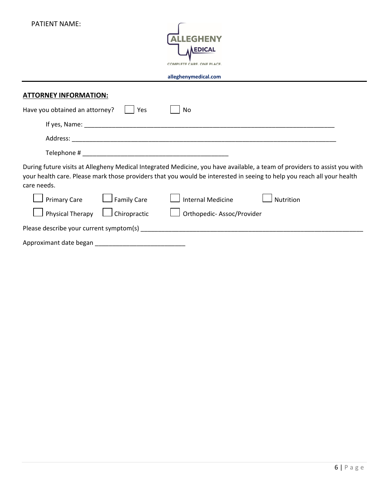| <b>PATIENT NAME:</b><br><b>LEGHENY</b><br><b>EDICAL</b><br>COMPLETE CARE. ONE PLACE<br>alleghenymedical.com                                                                                                                                                        |
|--------------------------------------------------------------------------------------------------------------------------------------------------------------------------------------------------------------------------------------------------------------------|
| <b>ATTORNEY INFORMATION:</b>                                                                                                                                                                                                                                       |
| Have you obtained an attorney?<br>Yes<br>No.                                                                                                                                                                                                                       |
|                                                                                                                                                                                                                                                                    |
|                                                                                                                                                                                                                                                                    |
|                                                                                                                                                                                                                                                                    |
| During future visits at Allegheny Medical Integrated Medicine, you have available, a team of providers to assist you with<br>your health care. Please mark those providers that you would be interested in seeing to help you reach all your health<br>care needs. |
| <b>Primary Care</b><br><b>Family Care</b><br><b>Internal Medicine</b><br><b>Nutrition</b>                                                                                                                                                                          |
| Physical Therapy<br>Chiropractic<br>Orthopedic-Assoc/Provider                                                                                                                                                                                                      |
|                                                                                                                                                                                                                                                                    |
|                                                                                                                                                                                                                                                                    |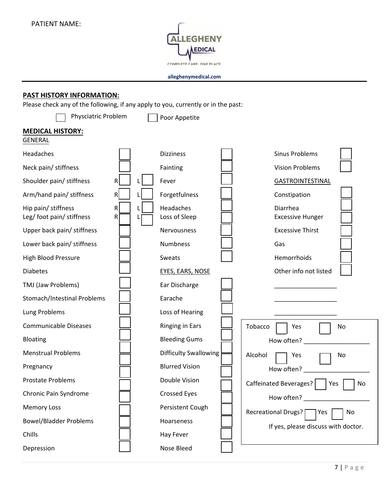

## **PAST HISTORY INFORMATION:**

Please check any of the following, if any apply to you, currently or in the past:

| Physciatric Problem                              |                   | Poor Appetite                |                                     |
|--------------------------------------------------|-------------------|------------------------------|-------------------------------------|
| <b>MEDICAL HISTORY:</b><br><b>GENERAL</b>        |                   |                              |                                     |
| Headaches                                        |                   | <b>Dizziness</b>             | <b>Sinus Problems</b>               |
| Neck pain/ stiffness                             |                   | Fainting                     | <b>Vision Problems</b>              |
| Shoulder pain/ stiffness                         | R                 | Fever                        | <b>GASTROINTESTINAL</b>             |
| Arm/hand pain/ stiffness                         | R                 | Forgetfulness                | Constipation                        |
| Hip pain/ stiffness<br>Leg/ foot pain/ stiffness | $\mathsf{R}$<br>R | Headaches<br>Loss of Sleep   | Diarrhea<br><b>Excessive Hunger</b> |
| Upper back pain/ stiffness                       |                   | Nervousness                  | <b>Excessive Thirst</b>             |
| Lower back pain/ stiffness                       |                   | Numbness                     | Gas                                 |
| <b>High Blood Pressure</b>                       |                   | Sweats                       | Hemorrhoids                         |
| <b>Diabetes</b>                                  |                   | EYES, EARS, NOSE             | Other info not listed               |
| TMJ (Jaw Problems)                               |                   | Ear Discharge                |                                     |
| Stomach/Intestinal Problems                      |                   | Earache                      |                                     |
| Lung Problems                                    |                   | Loss of Hearing              |                                     |
| <b>Communicable Diseases</b>                     |                   | <b>Ringing in Ears</b>       | Tobacco<br>Yes<br>No                |
| Bloating                                         |                   | <b>Bleeding Gums</b>         | How often?                          |
| <b>Menstrual Problems</b>                        |                   | <b>Difficulty Swallowing</b> | Alcohol<br>Yes<br>No                |
| Pregnancy                                        |                   | <b>Blurred Vision</b>        | How often?                          |
| <b>Prostate Problems</b>                         |                   | Double Vision                | Caffeinated Beverages?<br>Yes<br>No |
| Chronic Pain Syndrome                            |                   | <b>Crossed Eyes</b>          | How often?                          |
| <b>Memory Loss</b>                               |                   | Persistent Cough             | Recreational Drugs?<br>  Yes<br>No  |
| <b>Bowel/Bladder Problems</b>                    |                   | Hoarseness                   | If yes, please discuss with doctor. |
| Chills                                           |                   | Hay Fever                    |                                     |
| Depression                                       |                   | Nose Bleed                   |                                     |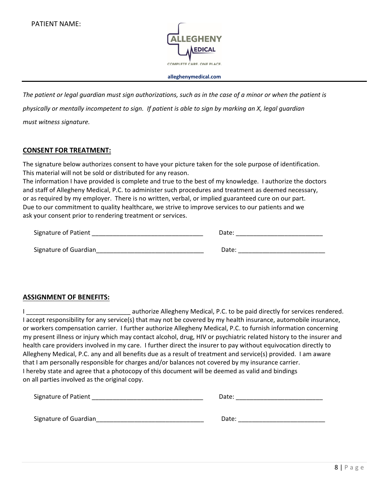

*The patient or legal guardian must sign authorizations, such as in the case of a minor or when the patient is physically or mentally incompetent to sign. If patient is able to sign by marking an X, legal guardian must witness signature.*

#### **CONSENT FOR TREATMENT:**

The signature below authorizes consent to have your picture taken for the sole purpose of identification. This material will not be sold or distributed for any reason.

The information I have provided is complete and true to the best of my knowledge. I authorize the doctors and staff of Allegheny Medical, P.C. to administer such procedures and treatment as deemed necessary, or as required by my employer. There is no written, verbal, or implied guaranteed cure on our part. Due to our commitment to quality healthcare, we strive to improve services to our patients and we ask your consent prior to rendering treatment or services.

| Signature of Patient  |       | Date: |  |
|-----------------------|-------|-------|--|
|                       |       |       |  |
| Signature of Guardian | Date: |       |  |

#### **ASSIGNMENT OF BENEFITS:**

I consider a methorize Allegheny Medical, P.C. to be paid directly for services rendered. I accept responsibility for any service(s) that may not be covered by my health insurance, automobile insurance, or workers compensation carrier. I further authorize Allegheny Medical, P.C. to furnish information concerning my present illness or injury which may contact alcohol, drug, HIV or psychiatric related history to the insurer and health care providers involved in my care. I further direct the insurer to pay without equivocation directly to Allegheny Medical, P.C. any and all benefits due as a result of treatment and service(s) provided. I am aware that I am personally responsible for charges and/or balances not covered by my insurance carrier. I hereby state and agree that a photocopy of this document will be deemed as valid and bindings on all parties involved as the original copy.

| <b>Signature of Patient</b> | Date: |
|-----------------------------|-------|
|                             |       |
| Signature of Guardian       | Date: |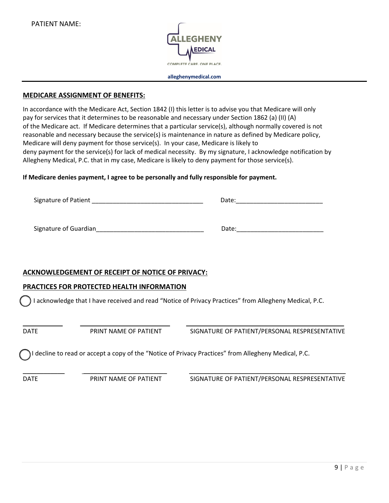

#### **MEDICARE ASSIGNMENT OF BENEFITS:**

In accordance with the Medicare Act, Section 1842 (I) this letter is to advise you that Medicare will only pay for services that it determines to be reasonable and necessary under Section 1862 (a) (II) (A) of the Medicare act. If Medicare determines that a particular service(s), although normally covered is not reasonable and necessary because the service(s) is maintenance in nature as defined by Medicare policy, Medicare will deny payment for those service(s). In your case, Medicare is likely to deny payment for the service(s) for lack of medical necessity. By my signature, I acknowledge notification by Allegheny Medical, P.C. that in my case, Medicare is likely to deny payment for those service(s).

#### **If Medicare denies payment, I agree to be personally and fully responsible for payment.**

| Signature of Patient  | Date: |
|-----------------------|-------|
| Signature of Guardian | Date: |

### **ACKNOWLEDGEMENT OF RECEIPT OF NOTICE OF PRIVACY:**

#### **PRACTICES FOR PROTECTED HEALTH INFORMATION**

I acknowledge that I have received and read "Notice of Privacy Practices" from Allegheny Medical, P.C.

\_\_\_\_\_\_\_\_\_\_\_ \_\_\_\_\_\_\_\_\_\_\_\_\_\_\_\_\_\_\_\_\_\_\_\_\_ \_\_\_\_\_\_\_\_\_\_\_\_\_\_\_\_\_\_\_\_\_\_\_\_\_\_\_\_\_\_\_\_\_\_\_\_\_\_\_\_\_\_\_\_\_ DATE PRINT NAME OF PATIENT SIGNATURE OF PATIENT/PERSONAL RESPRESENTATIVE

\_\_\_\_\_\_\_\_\_\_\_\_ \_\_\_\_\_\_\_\_\_\_\_\_\_\_\_\_\_\_\_\_\_\_\_\_ \_\_\_\_\_\_\_\_\_\_\_\_\_\_\_\_\_\_\_\_\_\_\_\_\_\_\_\_\_\_\_\_\_\_\_\_\_\_\_\_\_\_\_\_\_

I decline to read or accept a copy of the "Notice of Privacy Practices" from Allegheny Medical, P.C.

DATE PRINT NAME OF PATIENT SIGNATURE OF PATIENT/PERSONAL RESPRESENTATIVE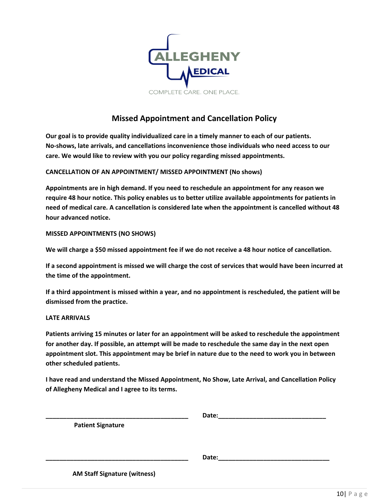

# **Missed Appointment and Cancellation Policy**

**Our goal is to provide quality individualized care in a timely manner to each of our patients. No-shows, late arrivals, and cancellations inconvenience those individuals who need access to our care. We would like to review with you our policy regarding missed appointments.**

#### **CANCELLATION OF AN APPOINTMENT/ MISSED APPOINTMENT (No shows)**

**Appointments are in high demand. If you need to reschedule an appointment for any reason we require 48 hour notice. This policy enables us to better utilize available appointments for patients in need of medical care. A cancellation is considered late when the appointment is cancelled without 48 hour advanced notice.** 

#### **MISSED APPOINTMENTS (NO SHOWS)**

**We will charge a \$50 missed appointment fee if we do not receive a 48 hour notice of cancellation.** 

**If a second appointment is missed we will charge the cost of services that would have been incurred at the time of the appointment.** 

**If a third appointment is missed within a year, and no appointment is rescheduled, the patient will be dismissed from the practice.**

#### **LATE ARRIVALS**

**Patients arriving 15 minutes or later for an appointment will be asked to reschedule the appointment for another day. If possible, an attempt will be made to reschedule the same day in the next open appointment slot. This appointment may be brief in nature due to the need to work you in between other scheduled patients.**

**I have read and understand the Missed Appointment, No Show, Late Arrival, and Cancellation Policy of Allegheny Medical and I agree to its terms.** 

|                                     | Date: |
|-------------------------------------|-------|
| <b>Patient Signature</b>            |       |
|                                     |       |
|                                     |       |
|                                     | Date: |
| <b>AM Staff Signature (witness)</b> |       |